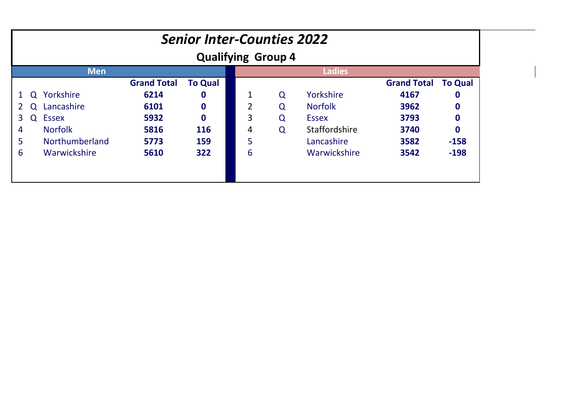|            | <b>Senior Inter-Counties 2022</b><br><b>Qualifying Group 4</b> |                |                    |                |  |   |   |                     |                    |                  |
|------------|----------------------------------------------------------------|----------------|--------------------|----------------|--|---|---|---------------------|--------------------|------------------|
| <b>Men</b> |                                                                |                |                    |                |  |   |   | <b>Ladies</b>       |                    |                  |
|            |                                                                |                | <b>Grand Total</b> | <b>To Qual</b> |  |   |   |                     | <b>Grand Total</b> | <b>To Qual</b>   |
|            | $\Omega$                                                       | Yorkshire      | 6214               | $\mathbf 0$    |  |   | Q | Yorkshire           | 4167               | $\boldsymbol{0}$ |
|            | Q                                                              | Lancashire     | 6101               | $\bf{0}$       |  | 2 | Q | <b>Norfolk</b>      | 3962               | $\boldsymbol{0}$ |
| 3          | $\Omega$                                                       | <b>Essex</b>   | 5932               | $\bf{0}$       |  | 3 | Q | <b>Essex</b>        | 3793               | $\bf{0}$         |
| 4          |                                                                | <b>Norfolk</b> | 5816               | 116            |  | 4 | Q | Staffordshire       | 3740               | $\bf{0}$         |
| 5          |                                                                | Northumberland | 5773               | 159            |  | 5 |   | Lancashire          | 3582               | $-158$           |
| 6          |                                                                | Warwickshire   | 5610               | 322            |  | 6 |   | <b>Warwickshire</b> | 3542               | $-198$           |
|            |                                                                |                |                    |                |  |   |   |                     |                    |                  |
|            |                                                                |                |                    |                |  |   |   |                     |                    |                  |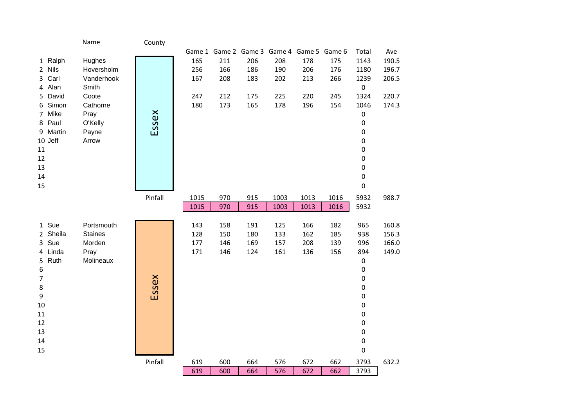|                | Name           | County  |      |     |     |      |                                           |      |                  |       |
|----------------|----------------|---------|------|-----|-----|------|-------------------------------------------|------|------------------|-------|
|                |                |         |      |     |     |      | Game 1 Game 2 Game 3 Game 4 Game 5 Game 6 |      | Total            | Ave   |
| 1 Ralph        | Hughes         |         | 165  | 211 | 206 | 208  | 178                                       | 175  | 1143             | 190.5 |
| 2 Nils         | Hoversholm     |         | 256  | 166 | 186 | 190  | 206                                       | 176  | 1180             | 196.7 |
| 3 Carl         | Vanderhook     |         | 167  | 208 | 183 | 202  | 213                                       | 266  | 1239             | 206.5 |
| 4 Alan         | Smith          |         |      |     |     |      |                                           |      | $\pmb{0}$        |       |
| 5 David        | Coote          |         | 247  | 212 | 175 | 225  | 220                                       | 245  | 1324             | 220.7 |
| 6 Simon        | Cathorne       |         | 180  | 173 | 165 | 178  | 196                                       | 154  | 1046             | 174.3 |
| 7 Mike         | Pray           |         |      |     |     |      |                                           |      | $\pmb{0}$        |       |
| 8 Paul         | O'Kelly        | Essex   |      |     |     |      |                                           |      | $\pmb{0}$        |       |
| 9 Martin       | Payne          |         |      |     |     |      |                                           |      | $\pmb{0}$        |       |
| 10 Jeff        | Arrow          |         |      |     |     |      |                                           |      | 0                |       |
| 11             |                |         |      |     |     |      |                                           |      | $\pmb{0}$        |       |
| 12             |                |         |      |     |     |      |                                           |      | $\pmb{0}$        |       |
| 13             |                |         |      |     |     |      |                                           |      | $\pmb{0}$        |       |
| 14<br>15       |                |         |      |     |     |      |                                           |      | $\pmb{0}$        |       |
|                |                |         |      |     |     |      |                                           |      | $\boldsymbol{0}$ |       |
|                |                | Pinfall | 1015 | 970 | 915 | 1003 | 1013                                      | 1016 | 5932             | 988.7 |
|                |                |         | 1015 | 970 | 915 | 1003 | 1013                                      | 1016 | 5932             |       |
| 1 Sue          | Portsmouth     |         | 143  | 158 | 191 | 125  | 166                                       | 182  | 965              | 160.8 |
| 2 Sheila       | <b>Staines</b> |         | 128  | 150 | 180 | 133  | 162                                       | 185  | 938              | 156.3 |
| 3 Sue          | Morden         |         | 177  | 146 | 169 | 157  | 208                                       | 139  | 996              | 166.0 |
| 4 Linda        | Pray           |         | 171  | 146 | 124 | 161  | 136                                       | 156  | 894              | 149.0 |
| 5 Ruth         | Molineaux      |         |      |     |     |      |                                           |      | $\pmb{0}$        |       |
| 6              |                |         |      |     |     |      |                                           |      | $\pmb{0}$        |       |
| $\overline{7}$ |                |         |      |     |     |      |                                           |      | $\pmb{0}$        |       |
| 8              |                | Essex   |      |     |     |      |                                           |      | $\pmb{0}$        |       |
| 9              |                |         |      |     |     |      |                                           |      | $\pmb{0}$        |       |
| 10             |                |         |      |     |     |      |                                           |      | $\pmb{0}$        |       |
| 11             |                |         |      |     |     |      |                                           |      | $\pmb{0}$        |       |
| 12             |                |         |      |     |     |      |                                           |      | $\pmb{0}$        |       |
| 13             |                |         |      |     |     |      |                                           |      | $\pmb{0}$        |       |
| 14             |                |         |      |     |     |      |                                           |      | $\pmb{0}$        |       |
| 15             |                |         |      |     |     |      |                                           |      | $\pmb{0}$        |       |
|                |                | Pinfall | 619  | 600 | 664 | 576  | 672                                       | 662  | 3793             | 632.2 |
|                |                |         | 619  | 600 | 664 | 576  | 672                                       | 662  | 3793             |       |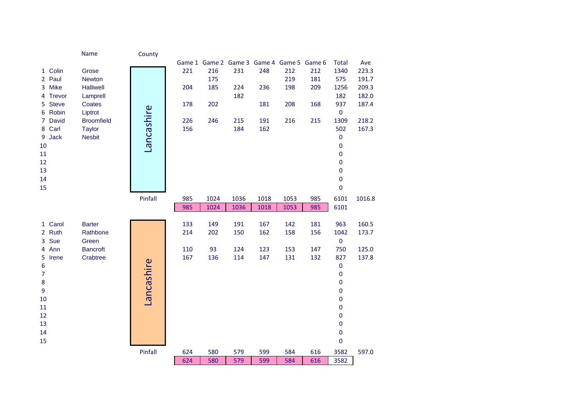|                               | <b>Name</b>              | County     |     |      |      |      |                                           |     |                   |        |
|-------------------------------|--------------------------|------------|-----|------|------|------|-------------------------------------------|-----|-------------------|--------|
|                               |                          |            |     |      |      |      | Game 1 Game 2 Game 3 Game 4 Game 5 Game 6 |     | <b>Total</b>      | Ave    |
| 1 Colin                       | Grose                    |            | 221 | 216  | 231  | 248  | 212                                       | 212 | 1340              | 223.3  |
| 2 Paul                        | <b>Newton</b>            |            |     | 175  |      |      | 219                                       | 181 | 575               | 191.7  |
| 3 Mike                        | <b>Halliwell</b>         |            | 204 | 185  | 224  | 236  | 198                                       | 209 | 1256              | 209.3  |
| Trevor<br>4                   | Lamprell                 |            |     |      | 182  |      |                                           |     | 182               | 182.0  |
| <b>Steve</b><br>5.            | Coates                   |            | 178 | 202  |      | 181  | 208                                       | 168 | 937               | 187.4  |
| 6 Robin                       | Liptrot                  | Lancashire |     |      |      |      |                                           |     | $\pmb{0}$         |        |
| <b>David</b><br>$\mathcal{I}$ | <b>Broomfield</b>        |            | 226 | 246  | 215  | 191  | 216                                       | 215 | 1309              | 218.2  |
| 8 Carl                        | <b>Taylor</b>            |            | 156 |      | 184  | 162  |                                           |     | 502               | 167.3  |
| Jack<br>9                     | <b>Nesbit</b>            |            |     |      |      |      |                                           |     | 0                 |        |
| 10                            |                          |            |     |      |      |      |                                           |     | 0                 |        |
| 11                            |                          |            |     |      |      |      |                                           |     | 0                 |        |
| 12                            |                          |            |     |      |      |      |                                           |     | 0                 |        |
| 13                            |                          |            |     |      |      |      |                                           |     | 0                 |        |
| 14                            |                          |            |     |      |      |      |                                           |     | $\pmb{0}$         |        |
| 15                            |                          |            |     |      |      |      |                                           |     | $\mathbf 0$       |        |
|                               |                          | Pinfall    | 985 | 1024 | 1036 | 1018 | 1053                                      | 985 | 6101              | 1016.8 |
|                               |                          |            | 985 | 1024 | 1036 | 1018 | 1053                                      | 985 | 6101              |        |
|                               |                          |            |     |      |      |      |                                           |     |                   |        |
| 1 Carol                       | <b>Barter</b>            |            | 133 | 149  | 191  | 167  | 142                                       | 181 | 963               | 160.5  |
| 2 Ruth<br>3 Sue               | Rathbone                 |            | 214 | 202  | 150  | 162  | 158                                       | 156 | 1042<br>$\pmb{0}$ | 173.7  |
| 4 Ann                         | Green<br><b>Bancroft</b> |            | 110 | 93   | 124  | 123  | 153                                       | 147 | 750               | 125.0  |
| 5<br>Irene                    | Crabtree                 |            | 167 | 136  | 114  | 147  | 131                                       | 132 | 827               | 137.8  |
| 6                             |                          |            |     |      |      |      |                                           |     | $\pmb{0}$         |        |
| $\overline{7}$                |                          | Lancashire |     |      |      |      |                                           |     | $\mathbf 0$       |        |
| 8                             |                          |            |     |      |      |      |                                           |     | 0                 |        |
| 9                             |                          |            |     |      |      |      |                                           |     | 0                 |        |
| 10                            |                          |            |     |      |      |      |                                           |     | 0                 |        |
| 11                            |                          |            |     |      |      |      |                                           |     | 0                 |        |
| 12                            |                          |            |     |      |      |      |                                           |     | 0                 |        |
| 13                            |                          |            |     |      |      |      |                                           |     | $\pmb{0}$         |        |
| 14                            |                          |            |     |      |      |      |                                           |     | $\pmb{0}$         |        |
| 15                            |                          |            |     |      |      |      |                                           |     | 0                 |        |
|                               |                          | Pinfall    | 624 | 580  | 579  | 599  | 584                                       | 616 | 3582              | 597.0  |
|                               |                          |            | 624 | 580  | 579  | 599  | 584                                       | 616 | 3582              |        |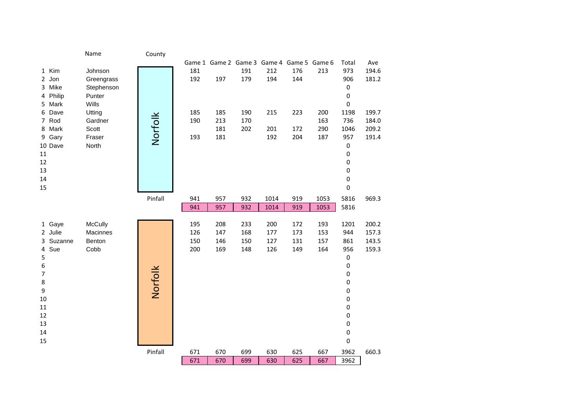|                    | Name           | County  |            |            |            |            |                                           |            |            |       |
|--------------------|----------------|---------|------------|------------|------------|------------|-------------------------------------------|------------|------------|-------|
|                    |                |         |            |            |            |            | Game 1 Game 2 Game 3 Game 4 Game 5 Game 6 |            | Total      | Ave   |
| 1 Kim              | Johnson        |         | 181        |            | 191        | 212        | 176                                       | 213        | 973        | 194.6 |
| 2 Jon              | Greengrass     |         | 192        | 197        | 179        | 194        | 144                                       |            | 906        | 181.2 |
| 3 Mike             | Stephenson     |         |            |            |            |            |                                           |            | $\pmb{0}$  |       |
| 4 Philip           | Punter         |         |            |            |            |            |                                           |            | $\pmb{0}$  |       |
| 5 Mark             | Wills          |         |            |            |            |            |                                           |            | $\pmb{0}$  |       |
| 6 Dave             | Utting         |         | 185        | 185        | 190        | 215        | 223                                       | 200        | 1198       | 199.7 |
| 7 Rod              | Gardner        | Norfolk | 190        | 213        | 170        |            |                                           | 163        | 736        | 184.0 |
| 8 Mark             | Scott          |         |            | 181        | 202        | 201        | 172                                       | 290        | 1046       | 209.2 |
| Gary<br>9          | Fraser         |         | 193        | 181        |            | 192        | 204                                       | 187        | 957        | 191.4 |
| 10 Dave            | North          |         |            |            |            |            |                                           |            | $\pmb{0}$  |       |
| 11                 |                |         |            |            |            |            |                                           |            | $\pmb{0}$  |       |
| 12                 |                |         |            |            |            |            |                                           |            | $\pmb{0}$  |       |
| 13                 |                |         |            |            |            |            |                                           |            | $\pmb{0}$  |       |
| 14                 |                |         |            |            |            |            |                                           |            | $\pmb{0}$  |       |
| 15                 |                |         |            |            |            |            |                                           |            | 0          |       |
|                    |                | Pinfall | 941        | 957        | 932        | 1014       | 919                                       | 1053       | 5816       | 969.3 |
|                    |                |         | 941        | 957        | 932        | 1014       | 919                                       | 1053       | 5816       |       |
|                    |                |         |            |            |            |            |                                           |            |            |       |
| 1 Gaye             | McCully        |         | 195        | 208        | 233        | 200        | 172                                       | 193        | 1201       | 200.2 |
| 2 Julie            | Macinnes       |         | 126        | 147        | 168        | 177        | 173                                       | 153        | 944        | 157.3 |
| 3 Suzanne<br>4 Sue | Benton<br>Cobb |         | 150<br>200 | 146<br>169 | 150<br>148 | 127<br>126 | 131<br>149                                | 157<br>164 | 861<br>956 | 143.5 |
| 5                  |                |         |            |            |            |            |                                           |            | 0          | 159.3 |
| 6                  |                |         |            |            |            |            |                                           |            | $\pmb{0}$  |       |
| $\overline{7}$     |                | Norfolk |            |            |            |            |                                           |            | $\pmb{0}$  |       |
| 8                  |                |         |            |            |            |            |                                           |            | $\pmb{0}$  |       |
| $\boldsymbol{9}$   |                |         |            |            |            |            |                                           |            | $\pmb{0}$  |       |
| 10                 |                |         |            |            |            |            |                                           |            | $\pmb{0}$  |       |
| 11                 |                |         |            |            |            |            |                                           |            | 0          |       |
| 12                 |                |         |            |            |            |            |                                           |            | 0          |       |
| 13                 |                |         |            |            |            |            |                                           |            | $\pmb{0}$  |       |
| 14                 |                |         |            |            |            |            |                                           |            | $\pmb{0}$  |       |
| 15                 |                |         |            |            |            |            |                                           |            | 0          |       |
|                    |                | Pinfall | 671        | 670        | 699        | 630        | 625                                       | 667        | 3962       | 660.3 |
|                    |                |         | 671        | 670        | 699        | 630        | 625                                       | 667        | 3962       |       |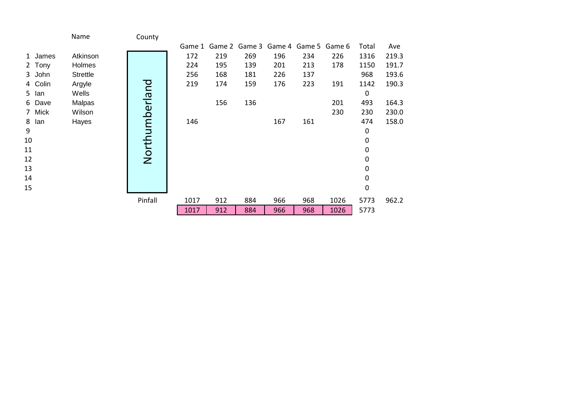|           | Name            | County         |      |                                           |     |     |     |      |           |       |
|-----------|-----------------|----------------|------|-------------------------------------------|-----|-----|-----|------|-----------|-------|
|           |                 |                |      | Game 1 Game 2 Game 3 Game 4 Game 5 Game 6 |     |     |     |      | Total     | Ave   |
| 1 James   | Atkinson        |                | 172  | 219                                       | 269 | 196 | 234 | 226  | 1316      | 219.3 |
| Tony<br>2 | Holmes          |                | 224  | 195                                       | 139 | 201 | 213 | 178  | 1150      | 191.7 |
| 3 John    | <b>Strettle</b> |                | 256  | 168                                       | 181 | 226 | 137 |      | 968       | 193.6 |
| 4 Colin   | Argyle          |                | 219  | 174                                       | 159 | 176 | 223 | 191  | 1142      | 190.3 |
| 5<br>lan  | Wells           |                |      |                                           |     |     |     |      | 0         |       |
| Dave<br>6 | Malpas          |                |      | 156                                       | 136 |     |     | 201  | 493       | 164.3 |
| 7 Mick    | Wilson          |                |      |                                           |     |     |     | 230  | 230       | 230.0 |
| 8<br>lan  | Hayes           |                | 146  |                                           |     | 167 | 161 |      | 474       | 158.0 |
| 9         |                 | Northumberland |      |                                           |     |     |     |      | 0         |       |
| 10        |                 |                |      |                                           |     |     |     |      | 0         |       |
| 11        |                 |                |      |                                           |     |     |     |      | 0         |       |
| 12        |                 |                |      |                                           |     |     |     |      | 0         |       |
| 13        |                 |                |      |                                           |     |     |     |      | 0         |       |
| 14        |                 |                |      |                                           |     |     |     |      | 0         |       |
| 15        |                 |                |      |                                           |     |     |     |      | $\pmb{0}$ |       |
|           |                 | Pinfall        | 1017 | 912                                       | 884 | 966 | 968 | 1026 | 5773      | 962.2 |
|           |                 |                | 1017 | 912                                       | 884 | 966 | 968 | 1026 | 5773      |       |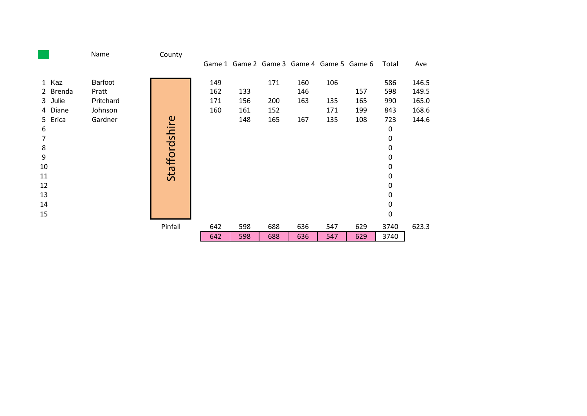|    |          | Name      | County        |     |     |     |                                           |     |     |           |       |
|----|----------|-----------|---------------|-----|-----|-----|-------------------------------------------|-----|-----|-----------|-------|
|    |          |           |               |     |     |     | Game 1 Game 2 Game 3 Game 4 Game 5 Game 6 |     |     | Total     | Ave   |
|    | 1 Kaz    | Barfoot   |               | 149 |     | 171 | 160                                       | 106 |     | 586       | 146.5 |
|    | 2 Brenda | Pratt     |               | 162 | 133 |     | 146                                       |     | 157 | 598       | 149.5 |
|    | 3 Julie  | Pritchard |               | 171 | 156 | 200 | 163                                       | 135 | 165 | 990       | 165.0 |
|    | 4 Diane  | Johnson   |               | 160 | 161 | 152 |                                           | 171 | 199 | 843       | 168.6 |
|    | 5 Erica  | Gardner   |               |     | 148 | 165 | 167                                       | 135 | 108 | 723       | 144.6 |
| 6  |          |           | Staffordshire |     |     |     |                                           |     |     | 0         |       |
| 7  |          |           |               |     |     |     |                                           |     |     | $\pmb{0}$ |       |
| 8  |          |           |               |     |     |     |                                           |     |     | 0         |       |
| 9  |          |           |               |     |     |     |                                           |     |     | 0         |       |
| 10 |          |           |               |     |     |     |                                           |     |     | 0         |       |
| 11 |          |           |               |     |     |     |                                           |     |     | 0         |       |
| 12 |          |           |               |     |     |     |                                           |     |     | 0         |       |
| 13 |          |           |               |     |     |     |                                           |     |     | 0         |       |
| 14 |          |           |               |     |     |     |                                           |     |     | 0         |       |
| 15 |          |           |               |     |     |     |                                           |     |     | 0         |       |
|    |          |           | Pinfall       | 642 | 598 | 688 | 636                                       | 547 | 629 | 3740      | 623.3 |
|    |          |           |               | 642 | 598 | 688 | 636                                       | 547 | 629 | 3740      |       |
|    |          |           |               |     |     |     |                                           |     |     |           |       |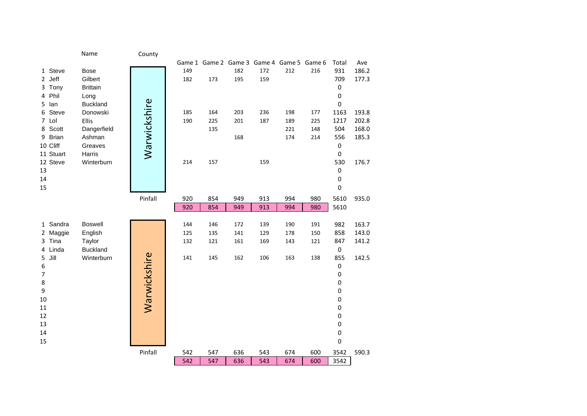|                       | Name            | County       |     |                                           |     |     |     |     |                |       |
|-----------------------|-----------------|--------------|-----|-------------------------------------------|-----|-----|-----|-----|----------------|-------|
|                       |                 |              |     | Game 1 Game 2 Game 3 Game 4 Game 5 Game 6 |     |     |     |     | Total          | Ave   |
| 1 Steve               | <b>Bose</b>     |              | 149 |                                           | 182 | 172 | 212 | 216 | 931            | 186.2 |
| 2 Jeff                | Gilbert         |              | 182 | 173                                       | 195 | 159 |     |     | 709            | 177.3 |
| Tony<br>3             | <b>Brittain</b> |              |     |                                           |     |     |     |     | $\mathbf 0$    |       |
| Phil<br>4             | Long            |              |     |                                           |     |     |     |     | 0              |       |
| 5<br>lan              | <b>Buckland</b> | Warwickshire |     |                                           |     |     |     |     | $\mathbf 0$    |       |
| Steve<br>6            | Donowski        |              | 185 | 164                                       | 203 | 236 | 198 | 177 | 1163           | 193.8 |
| Lol<br>$\overline{7}$ | Ellis           |              | 190 | 225                                       | 201 | 187 | 189 | 225 | 1217           | 202.8 |
| Scott<br>8            | Dangerfield     |              |     | 135                                       |     |     | 221 | 148 | 504            | 168.0 |
| <b>Brian</b><br>9     | Ashman          |              |     |                                           | 168 |     | 174 | 214 | 556            | 185.3 |
| 10 Cliff              | Greaves         |              |     |                                           |     |     |     |     | $\pmb{0}$      |       |
| 11 Stuart             | Harris          |              |     |                                           |     |     |     |     | $\pmb{0}$      |       |
| 12 Steve              | Winterburn      |              | 214 | 157                                       |     | 159 |     |     | 530            | 176.7 |
| 13                    |                 |              |     |                                           |     |     |     |     | $\pmb{0}$      |       |
| 14                    |                 |              |     |                                           |     |     |     |     | $\pmb{0}$      |       |
| 15                    |                 |              |     |                                           |     |     |     |     | 0              |       |
|                       |                 | Pinfall      | 920 | 854                                       | 949 | 913 | 994 | 980 | 5610           | 935.0 |
|                       |                 |              | 920 | 854                                       | 949 | 913 | 994 | 980 | 5610           |       |
|                       |                 |              |     |                                           |     |     |     |     |                |       |
| 1 Sandra              | <b>Boswell</b>  |              | 144 | 146                                       | 172 | 139 | 190 | 191 | 982            | 163.7 |
| 2 Maggie              | English         |              | 125 | 135                                       | 141 | 129 | 178 | 150 | 858            | 143.0 |
| 3 Tina                | Taylor          |              | 132 | 121                                       | 161 | 169 | 143 | 121 | 847            | 141.2 |
| Linda<br>4            | <b>Buckland</b> |              |     |                                           |     |     |     |     | $\pmb{0}$      |       |
| Jill<br>5             | Winterburn      |              | 141 | 145                                       | 162 | 106 | 163 | 138 | 855            | 142.5 |
| 6<br>$\overline{7}$   |                 | Warwickshire |     |                                           |     |     |     |     | $\pmb{0}$<br>0 |       |
| 8                     |                 |              |     |                                           |     |     |     |     | 0              |       |
| 9                     |                 |              |     |                                           |     |     |     |     | 0              |       |
| 10                    |                 |              |     |                                           |     |     |     |     | 0              |       |
| 11                    |                 |              |     |                                           |     |     |     |     | 0              |       |
| 12                    |                 |              |     |                                           |     |     |     |     | 0              |       |
| 13                    |                 |              |     |                                           |     |     |     |     | 0              |       |
| 14                    |                 |              |     |                                           |     |     |     |     | 0              |       |
| 15                    |                 |              |     |                                           |     |     |     |     | 0              |       |
|                       |                 | Pinfall      | 542 | 547                                       | 636 | 543 | 674 | 600 | 3542           | 590.3 |
|                       |                 |              | 542 | 547                                       | 636 | 543 | 674 | 600 | 3542           |       |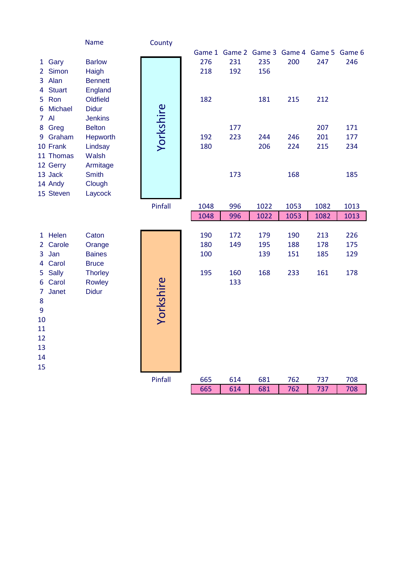|                |               | Name           | County    |      |     |                                           |      |      |      |
|----------------|---------------|----------------|-----------|------|-----|-------------------------------------------|------|------|------|
|                |               |                |           |      |     | Game 1 Game 2 Game 3 Game 4 Game 5 Game 6 |      |      |      |
|                | 1 Gary        | <b>Barlow</b>  |           | 276  | 231 | 235                                       | 200  | 247  | 246  |
| $2^{\circ}$    | Simon         | Haigh          |           | 218  | 192 | 156                                       |      |      |      |
|                | 3 Alan        | <b>Bennett</b> |           |      |     |                                           |      |      |      |
| 4              | <b>Stuart</b> | England        |           |      |     |                                           |      |      |      |
|                | 5 Ron         | Oldfield       |           | 182  |     | 181                                       | 215  | 212  |      |
|                | 6 Michael     | <b>Didur</b>   | Yorkshire |      |     |                                           |      |      |      |
|                | 7 Al          | <b>Jenkins</b> |           |      |     |                                           |      |      |      |
|                | 8 Greg        | <b>Belton</b>  |           |      | 177 |                                           |      | 207  | 171  |
|                | 9 Graham      | Hepworth       |           | 192  | 223 | 244                                       | 246  | 201  | 177  |
|                | 10 Frank      | Lindsay        |           | 180  |     | 206                                       | 224  | 215  | 234  |
|                | 11 Thomas     | Walsh          |           |      |     |                                           |      |      |      |
|                | 12 Gerry      | Armitage       |           |      |     |                                           |      |      |      |
|                | 13 Jack       | <b>Smith</b>   |           |      | 173 |                                           | 168  |      | 185  |
|                | 14 Andy       | Clough         |           |      |     |                                           |      |      |      |
|                | 15 Steven     | Laycock        |           |      |     |                                           |      |      |      |
|                |               |                | Pinfall   | 1048 | 996 | 1022                                      | 1053 | 1082 | 1013 |
|                |               |                |           | 1048 | 996 | 1022                                      | 1053 | 1082 | 1013 |
|                |               |                |           |      |     |                                           |      |      |      |
|                | 1 Helen       | Caton          |           | 190  | 172 | 179                                       | 190  | 213  | 226  |
|                | 2 Carole      | Orange         |           | 180  | 149 | 195                                       | 188  | 178  | 175  |
|                | 3 Jan         | <b>Baines</b>  |           | 100  |     | 139                                       | 151  | 185  | 129  |
|                | 4 Carol       | <b>Bruce</b>   |           |      |     |                                           |      |      |      |
| 5              | <b>Sally</b>  | <b>Thorley</b> |           | 195  | 160 | 168                                       | 233  | 161  | 178  |
|                | 6 Carol       | <b>Rowley</b>  |           |      | 133 |                                           |      |      |      |
| $\overline{7}$ | Janet         | <b>Didur</b>   |           |      |     |                                           |      |      |      |
| 8              |               |                |           |      |     |                                           |      |      |      |
| 9              |               |                | Yorkshire |      |     |                                           |      |      |      |
| 10             |               |                |           |      |     |                                           |      |      |      |
| 11             |               |                |           |      |     |                                           |      |      |      |
| 12             |               |                |           |      |     |                                           |      |      |      |
| 13             |               |                |           |      |     |                                           |      |      |      |
| 14             |               |                |           |      |     |                                           |      |      |      |
| 15             |               |                |           |      |     |                                           |      |      |      |
|                |               |                | Pinfall   | 665  | 614 | 681                                       | 762  | 737  | 708  |
|                |               |                |           | 665  | 614 | 681                                       | 762  | 737  | 708  |